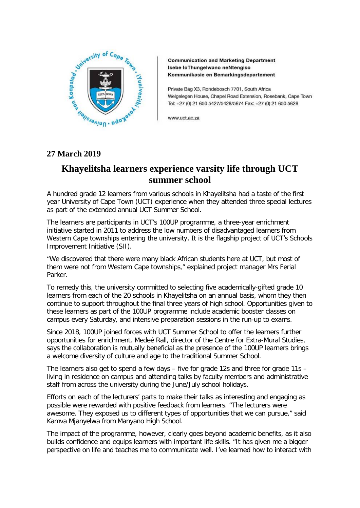

**Communication and Marketing Department** Isebe loThungelwano neNtengiso Kommunikasie en Bemarkingsdepartement

Private Bag X3, Rondebosch 7701, South Africa Welgelegen House, Chapel Road Extension, Rosebank, Cape Town Tel: +27 (0) 21 650 5427/5428/5674 Fax: +27 (0) 21 650 5628

www.uct.ac.za

## **Khayelitsha learners experience varsity life through UCT summer school**

A hundred grade 12 learners from various schools in Khayelitsha had a taste of the first year University of Cape Town (UCT) experience when they attended three special lectures as part of the extended annual UCT Summer School.

The learners are participants in UCT's 100UP programme, a three-year enrichment initiative started in 2011 to address the low numbers of disadvantaged learners from Western Cape townships entering the university. It is the flagship project of UCT's Schools Improvement Initiative (SII).

"We discovered that there were many black African students here at UCT, but most of them were not from Western Cape townships," explained project manager Mrs Ferial Parker.

To remedy this, the university committed to selecting five academically-gifted grade 10 learners from each of the 20 schools in Khayelitsha on an annual basis, whom they then continue to support throughout the final three years of high school. Opportunities given to these learners as part of the 100UP programme include academic booster classes on campus every Saturday, and intensive preparation sessions in the run-up to exams.

Since 2018, 100UP joined forces with UCT Summer School to offer the learners further opportunities for enrichment. Medeé Rall, director of the Centre for Extra-Mural Studies, says the collaboration is mutually beneficial as the presence of the 100UP learners brings a welcome diversity of culture and age to the traditional Summer School.

The learners also get to spend a few days – five for grade 12s and three for grade 11s – living in residence on campus and attending talks by faculty members and administrative staff from across the university during the June/July school holidays.

Efforts on each of the lecturers' parts to make their talks as interesting and engaging as possible were rewarded with positive feedback from learners. "The lecturers were awesome. They exposed us to different types of opportunities that we can pursue," said Kamva Mjanyelwa from Manyano High School.

The impact of the programme, however, clearly goes beyond academic benefits, as it also builds confidence and equips learners with important life skills. "It has given me a bigger perspective on life and teaches me to communicate well. I've learned how to interact with